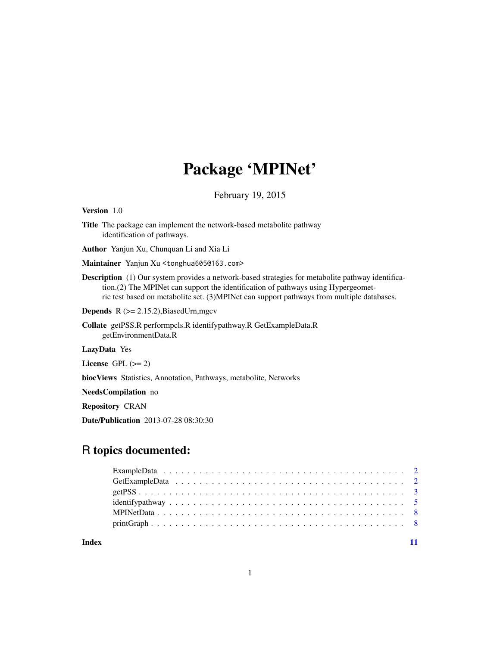## Package 'MPINet'

February 19, 2015

Version 1.0

Title The package can implement the network-based metabolite pathway identification of pathways.

Author Yanjun Xu, Chunquan Li and Xia Li

Maintainer Yanjun Xu <tonghua605@163.com>

Description (1) Our system provides a network-based strategies for metabolite pathway identification.(2) The MPINet can support the identification of pathways using Hypergeometric test based on metabolite set. (3)MPINet can support pathways from multiple databases.

**Depends**  $R$  ( $>= 2.15.2$ ), BiasedUrn, mgcv

Collate getPSS.R performpcls.R identifypathway.R GetExampleData.R getEnvironmentData.R

LazyData Yes

License GPL  $(>= 2)$ 

biocViews Statistics, Annotation, Pathways, metabolite, Networks

NeedsCompilation no

Repository CRAN

Date/Publication 2013-07-28 08:30:30

### R topics documented:

**Index** [11](#page-10-0)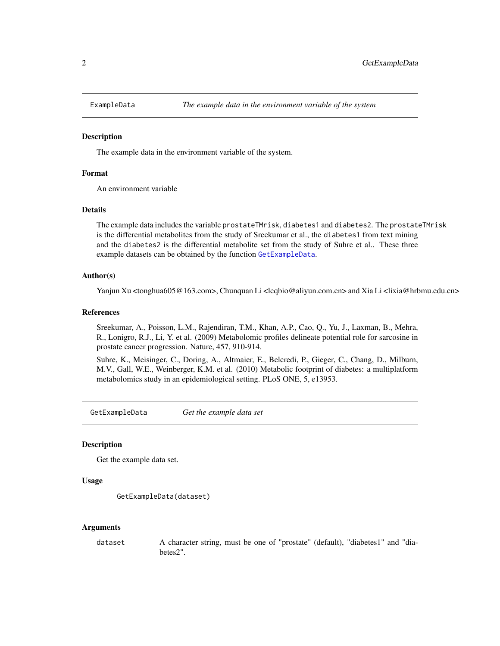<span id="page-1-0"></span>

#### Description

The example data in the environment variable of the system.

#### Format

An environment variable

#### **Details**

The example data includes the variable prostateTMrisk, diabetes1 and diabetes2. The prostateTMrisk is the differential metabolites from the study of Sreekumar et al., the diabetes1 from text mining and the diabetes2 is the differential metabolite set from the study of Suhre et al.. These three example datasets can be obtained by the function [GetExampleData](#page-1-1).

#### Author(s)

Yanjun Xu <tonghua605@163.com>, Chunquan Li <lcqbio@aliyun.com.cn> and Xia Li <lixia@hrbmu.edu.cn>

#### References

Sreekumar, A., Poisson, L.M., Rajendiran, T.M., Khan, A.P., Cao, Q., Yu, J., Laxman, B., Mehra, R., Lonigro, R.J., Li, Y. et al. (2009) Metabolomic profiles delineate potential role for sarcosine in prostate cancer progression. Nature, 457, 910-914.

Suhre, K., Meisinger, C., Doring, A., Altmaier, E., Belcredi, P., Gieger, C., Chang, D., Milburn, M.V., Gall, W.E., Weinberger, K.M. et al. (2010) Metabolic footprint of diabetes: a multiplatform metabolomics study in an epidemiological setting. PLoS ONE, 5, e13953.

<span id="page-1-1"></span>GetExampleData *Get the example data set*

#### Description

Get the example data set.

#### Usage

```
GetExampleData(dataset)
```
#### Arguments

dataset A character string, must be one of "prostate" (default), "diabetes1" and "diabetes2".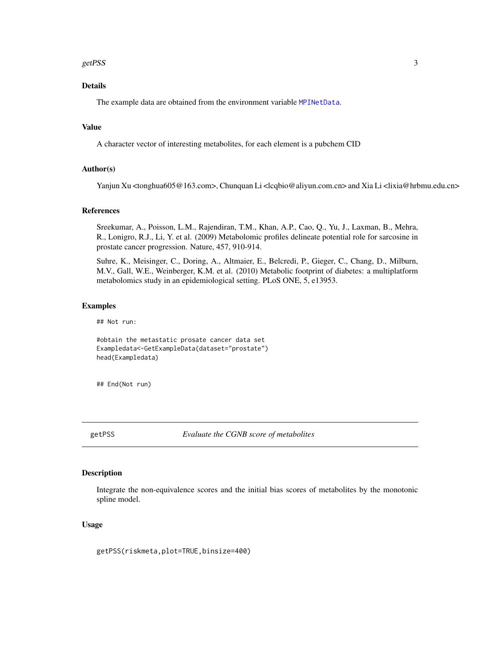#### <span id="page-2-0"></span>getPSS 3

#### Details

The example data are obtained from the environment variable [MPINetData](#page-7-1).

#### Value

A character vector of interesting metabolites, for each element is a pubchem CID

#### Author(s)

Yanjun Xu <tonghua605@163.com>, Chunquan Li <lcqbio@aliyun.com.cn> and Xia Li <lixia@hrbmu.edu.cn>

#### References

Sreekumar, A., Poisson, L.M., Rajendiran, T.M., Khan, A.P., Cao, Q., Yu, J., Laxman, B., Mehra, R., Lonigro, R.J., Li, Y. et al. (2009) Metabolomic profiles delineate potential role for sarcosine in prostate cancer progression. Nature, 457, 910-914.

Suhre, K., Meisinger, C., Doring, A., Altmaier, E., Belcredi, P., Gieger, C., Chang, D., Milburn, M.V., Gall, W.E., Weinberger, K.M. et al. (2010) Metabolic footprint of diabetes: a multiplatform metabolomics study in an epidemiological setting. PLoS ONE, 5, e13953.

#### Examples

## Not run:

#obtain the metastatic prosate cancer data set Exampledata<-GetExampleData(dataset="prostate") head(Exampledata)

## End(Not run)

<span id="page-2-1"></span>getPSS *Evaluate the CGNB score of metabolites*

#### Description

Integrate the non-equivalence scores and the initial bias scores of metabolites by the monotonic spline model.

#### Usage

getPSS(riskmeta,plot=TRUE,binsize=400)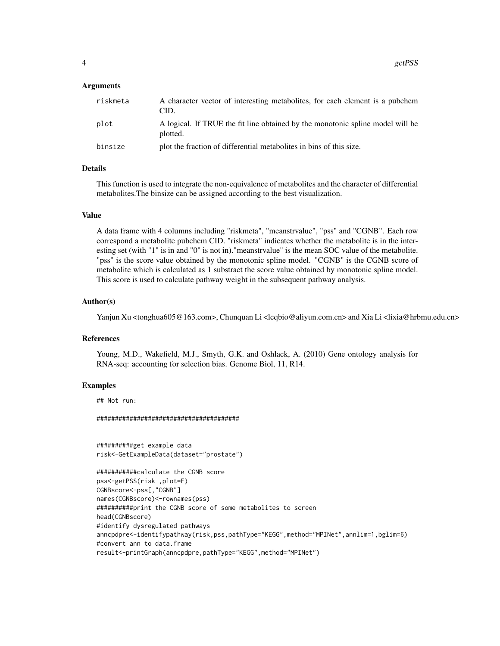#### Arguments

| riskmeta | A character vector of interesting metabolites, for each element is a pubchem<br>CID.       |
|----------|--------------------------------------------------------------------------------------------|
| plot     | A logical. If TRUE the fit line obtained by the monotonic spline model will be<br>plotted. |
| binsize  | plot the fraction of differential metabolities in bins of this size.                       |

#### Details

This function is used to integrate the non-equivalence of metabolites and the character of differential metabolites.The binsize can be assigned according to the best visualization.

#### Value

A data frame with 4 columns including "riskmeta", "meanstrvalue", "pss" and "CGNB". Each row correspond a metabolite pubchem CID. "riskmeta" indicates whether the metabolite is in the interesting set (with "1" is in and "0" is not in)."meanstrvalue" is the mean SOC value of the metabolite. "pss" is the score value obtained by the monotonic spline model. "CGNB" is the CGNB score of metabolite which is calculated as 1 substract the score value obtained by monotonic spline model. This score is used to calculate pathway weight in the subsequent pathway analysis.

#### Author(s)

Yanjun Xu <tonghua605@163.com>, Chunquan Li <lcqbio@aliyun.com.cn> and Xia Li <lixia@hrbmu.edu.cn>

#### References

Young, M.D., Wakefield, M.J., Smyth, G.K. and Oshlack, A. (2010) Gene ontology analysis for RNA-seq: accounting for selection bias. Genome Biol, 11, R14.

#### Examples

## Not run:

#######################################

##########get example data risk<-GetExampleData(dataset="prostate")

```
###########calculate the CGNB score
pss<-getPSS(risk ,plot=F)
CGNBscore<-pss[,"CGNB"]
names(CGNBscore)<-rownames(pss)
##########print the CGNB score of some metabolites to screen
head(CGNBscore)
#identify dysregulated pathways
anncpdpre<-identifypathway(risk,pss,pathType="KEGG",method="MPINet",annlim=1,bglim=6)
#convert ann to data.frame
result<-printGraph(anncpdpre,pathType="KEGG",method="MPINet")
```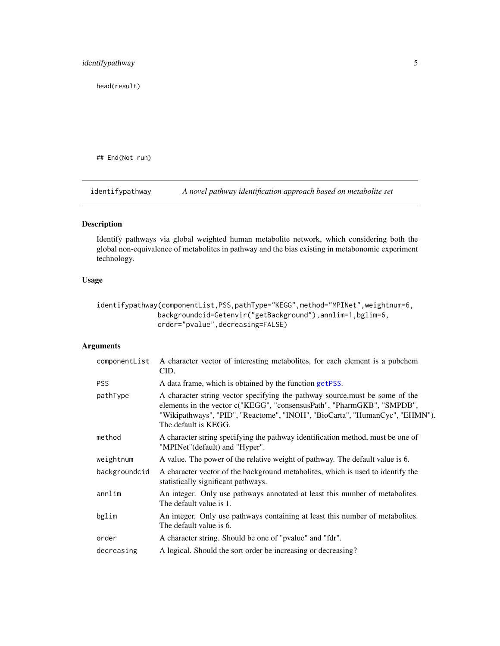<span id="page-4-0"></span>head(result)

## End(Not run)

<span id="page-4-1"></span>identifypathway *A novel pathway identification approach based on metabolite set*

#### Description

Identify pathways via global weighted human metabolite network, which considering both the global non-equivalence of metabolites in pathway and the bias existing in metabonomic experiment technology.

#### Usage

```
identifypathway(componentList,PSS,pathType="KEGG",method="MPINet",weightnum=6,
               backgroundcid=Getenvir("getBackground"),annlim=1,bglim=6,
               order="pvalue",decreasing=FALSE)
```
#### Arguments

| A character vector of interesting metabolites, for each element is a pubchem<br>CID.                                                                                                                                                                          |
|---------------------------------------------------------------------------------------------------------------------------------------------------------------------------------------------------------------------------------------------------------------|
| A data frame, which is obtained by the function getPSS.                                                                                                                                                                                                       |
| A character string vector specifying the pathway source, must be some of the<br>elements in the vector c("KEGG", "consensusPath", "PharmGKB", "SMPDB",<br>"Wikipathways", "PID", "Reactome", "INOH", "BioCarta", "HumanCyc", "EHMN").<br>The default is KEGG. |
| A character string specifying the pathway identification method, must be one of<br>"MPINet" (default) and "Hyper".                                                                                                                                            |
| A value. The power of the relative weight of pathway. The default value is 6.                                                                                                                                                                                 |
| A character vector of the background metabolities, which is used to identify the<br>statistically significant pathways.                                                                                                                                       |
| An integer. Only use pathways annotated at least this number of metabolities.<br>The default value is 1.                                                                                                                                                      |
| An integer. Only use pathways containing at least this number of metabolities.<br>The default value is 6.                                                                                                                                                     |
| A character string. Should be one of "pvalue" and "fdr".                                                                                                                                                                                                      |
| A logical. Should the sort order be increasing or decreasing?                                                                                                                                                                                                 |
|                                                                                                                                                                                                                                                               |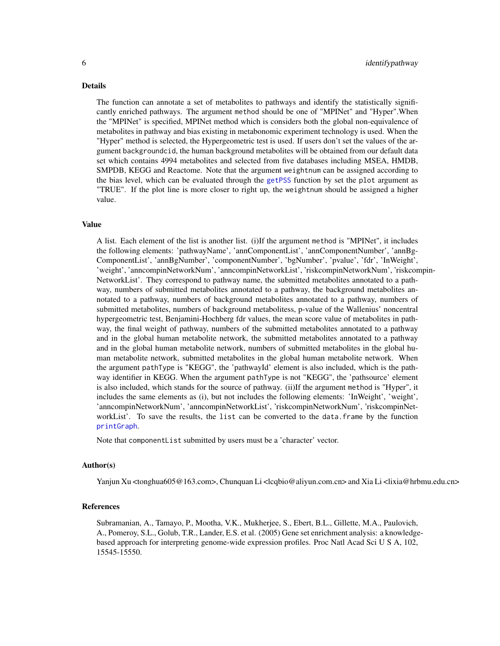#### <span id="page-5-0"></span>Details

The function can annotate a set of metabolites to pathways and identify the statistically significantly enriched pathways. The argument method should be one of "MPINet" and "Hyper".When the "MPINet" is specified, MPINet method which is considers both the global non-equivalence of metabolites in pathway and bias existing in metabonomic experiment technology is used. When the "Hyper" method is selected, the Hypergeometric test is used. If users don't set the values of the argument backgroundcid, the human background metabolites will be obtained from our default data set which contains 4994 metabolites and selected from five databases including MSEA, HMDB, SMPDB, KEGG and Reactome. Note that the argument weightnum can be assigned according to the bias level, which can be evaluated through the [getPSS](#page-2-1) function by set the plot argument as "TRUE". If the plot line is more closer to right up, the weightnum should be assigned a higher value.

#### Value

A list. Each element of the list is another list. (i)If the argument method is "MPINet", it includes the following elements: 'pathwayName', 'annComponentList', 'annComponentNumber', 'annBg-ComponentList', 'annBgNumber', 'componentNumber', 'bgNumber', 'pvalue', 'fdr', 'InWeight', 'weight', 'anncompinNetworkNum', 'anncompinNetworkList', 'riskcompinNetworkNum', 'riskcompin-NetworkList'. They correspond to pathway name, the submitted metabolites annotated to a pathway, numbers of submitted metabolites annotated to a pathway, the background metabolites annotated to a pathway, numbers of background metabolites annotated to a pathway, numbers of submitted metabolites, numbers of background metabolitess, p-value of the Wallenius' noncentral hypergeometric test, Benjamini-Hochberg fdr values, the mean score value of metabolites in pathway, the final weight of pathway, numbers of the submitted metabolites annotated to a pathway and in the global human metabolite network, the submitted metabolites annotated to a pathway and in the global human metabolite network, numbers of submitted metabolites in the global human metabolite network, submitted metabolites in the global human metabolite network. When the argument pathType is "KEGG", the 'pathwayId' element is also included, which is the pathway identifier in KEGG. When the argument pathType is not "KEGG", the 'pathsource' element is also included, which stands for the source of pathway. (ii)If the argument method is "Hyper", it includes the same elements as (i), but not includes the following elements: 'InWeight', 'weight', 'anncompinNetworkNum', 'anncompinNetworkList', 'riskcompinNetworkNum', 'riskcompinNetworkList'. To save the results, the list can be converted to the data.frame by the function [printGraph](#page-7-2).

Note that componentList submitted by users must be a 'character' vector.

#### Author(s)

Yanjun Xu <tonghua605@163.com>, Chunquan Li <lcqbio@aliyun.com.cn> and Xia Li <lixia@hrbmu.edu.cn>

#### References

Subramanian, A., Tamayo, P., Mootha, V.K., Mukherjee, S., Ebert, B.L., Gillette, M.A., Paulovich, A., Pomeroy, S.L., Golub, T.R., Lander, E.S. et al. (2005) Gene set enrichment analysis: a knowledgebased approach for interpreting genome-wide expression profiles. Proc Natl Acad Sci U S A, 102, 15545-15550.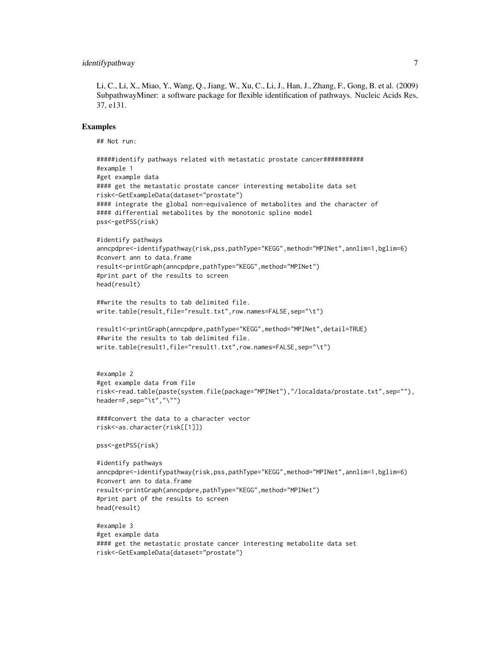Li, C., Li, X., Miao, Y., Wang, Q., Jiang, W., Xu, C., Li, J., Han, J., Zhang, F., Gong, B. et al. (2009) SubpathwayMiner: a software package for flexible identification of pathways. Nucleic Acids Res, 37, e131.

#### Examples

```
## Not run:
```

```
#####identify pathways related with metastatic prostate cancer###########
#example 1
#get example data
#### get the metastatic prostate cancer interesting metabolite data set
risk<-GetExampleData(dataset="prostate")
#### integrate the global non-equivalence of metabolites and the character of
#### differential metabolites by the monotonic spline model
pss<-getPSS(risk)
#identify pathways
anncpdpre<-identifypathway(risk,pss,pathType="KEGG",method="MPINet",annlim=1,bglim=6)
#convert ann to data.frame
result<-printGraph(anncpdpre,pathType="KEGG",method="MPINet")
#print part of the results to screen
head(result)
##write the results to tab delimited file.
write.table(result,file="result.txt",row.names=FALSE,sep="\t")
```

```
result1<-printGraph(anncpdpre,pathType="KEGG",method="MPINet",detail=TRUE)
##write the results to tab delimited file.
write.table(result1,file="result1.txt",row.names=FALSE,sep="\t")
```

```
#example 2
#get example data from file
risk<-read.table(paste(system.file(package="MPINet"),"/localdata/prostate.txt",sep=""),
header=F,sep="\t","\"")
```

```
####convert the data to a character vector
risk<-as.character(risk[[1]])
```
pss<-getPSS(risk)

```
#identify pathways
anncpdpre<-identifypathway(risk,pss,pathType="KEGG",method="MPINet",annlim=1,bglim=6)
#convert ann to data.frame
result<-printGraph(anncpdpre,pathType="KEGG",method="MPINet")
#print part of the results to screen
head(result)
```

```
#example 3
#get example data
#### get the metastatic prostate cancer interesting metabolite data set
risk<-GetExampleData(dataset="prostate")
```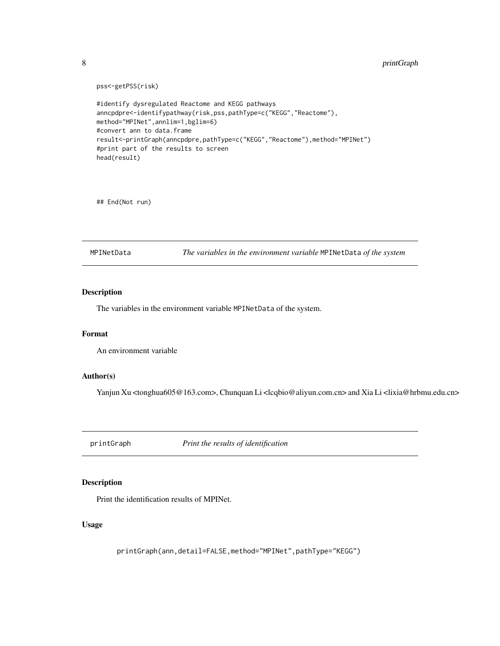```
pss<-getPSS(risk)
#identify dysregulated Reactome and KEGG pathways
anncpdpre<-identifypathway(risk,pss,pathType=c("KEGG","Reactome"),
method="MPINet",annlim=1,bglim=6)
#convert ann to data.frame
result<-printGraph(anncpdpre,pathType=c("KEGG","Reactome"),method="MPINet")
#print part of the results to screen
head(result)
```
## End(Not run)

<span id="page-7-1"></span>MPINetData *The variables in the environment variable* MPINetData *of the system*

#### Description

The variables in the environment variable MPINetData of the system.

#### Format

An environment variable

#### Author(s)

Yanjun Xu <tonghua605@163.com>, Chunquan Li <lcqbio@aliyun.com.cn> and Xia Li <lixia@hrbmu.edu.cn>

<span id="page-7-2"></span>printGraph *Print the results of identification*

#### Description

Print the identification results of MPINet.

#### Usage

printGraph(ann,detail=FALSE,method="MPINet",pathType="KEGG")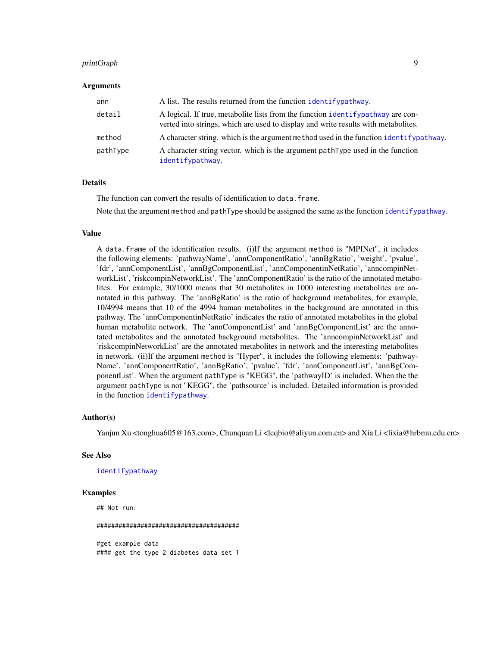#### <span id="page-8-0"></span>printGraph 9

#### Arguments

| ann      | A list. The results returned from the function identifypathway.                                                                                                        |
|----------|------------------------------------------------------------------------------------------------------------------------------------------------------------------------|
| detail   | A logical. If true, metabolite lists from the function identify pathway are con-<br>verted into strings, which are used to display and write results with metabolites. |
| method   | A character string, which is the argument method used in the function identify pathway.                                                                                |
| pathType | A character string vector, which is the argument pathType used in the function<br>identifypathway.                                                                     |

#### Details

The function can convert the results of identification to data.frame.

Note that the argument method and pathType should be assigned the same as the function [identifypathway](#page-4-1).

#### Value

A data.frame of the identification results. (i)If the argument method is "MPINet", it includes the following elements: 'pathwayName', 'annComponentRatio', 'annBgRatio', 'weight', 'pvalue', 'fdr', 'annComponentList', 'annBgComponentList', 'annComponentinNetRatio', 'anncompinNetworkList', 'riskcompinNetworkList'. The 'annComponentRatio' is the ratio of the annotated metabolites. For example, 30/1000 means that 30 metabolites in 1000 interesting metabolites are annotated in this pathway. The 'annBgRatio' is the ratio of background metabolites, for example, 10/4994 means that 10 of the 4994 human metabolites in the background are annotated in this pathway. The 'annComponentinNetRatio' indicates the ratio of annotated metabolites in the global human metabolite network. The 'annComponentList' and 'annBgComponentList' are the annotated metabolites and the annotated background metabolites. The 'anncompinNetworkList' and 'riskcompinNetworkList' are the annotated metabolites in network and the interesting metabolites in network. (ii)If the argument method is "Hyper", it includes the following elements: 'pathway-Name', 'annComponentRatio', 'annBgRatio', 'pvalue', 'fdr', 'annComponentList', 'annBgComponentList'. When the argument pathType is "KEGG", the 'pathwayID' is included. When the the argument pathType is not "KEGG", the 'pathsource' is included. Detailed information is provided in the function [identifypathway](#page-4-1).

#### Author(s)

Yanjun Xu <tonghua605@163.com>, Chunquan Li <lcqbio@aliyun.com.cn> and Xia Li <lixia@hrbmu.edu.cn>

#### See Also

#### [identifypathway](#page-4-1)

#### Examples

## Not run: ####################################### #get example data #### get the type 2 diabetes data set 1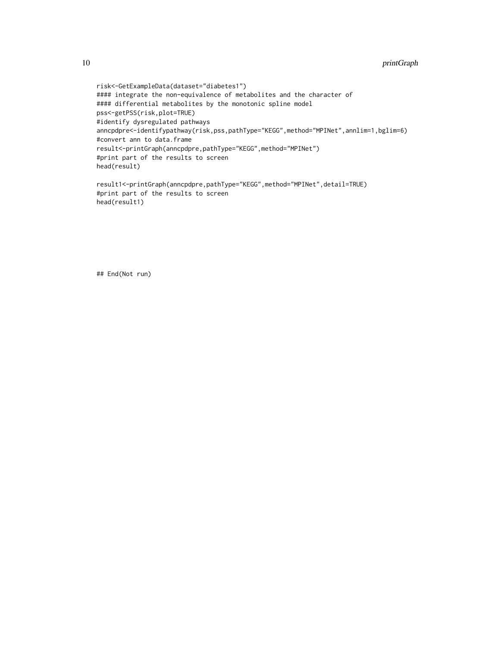```
risk<-GetExampleData(dataset="diabetes1")
#### integrate the non-equivalence of metabolites and the character of
#### differential metabolites by the monotonic spline model
pss<-getPSS(risk,plot=TRUE)
#identify dysregulated pathways
anncpdpre<-identifypathway(risk,pss,pathType="KEGG",method="MPINet",annlim=1,bglim=6)
#convert ann to data.frame
result<-printGraph(anncpdpre,pathType="KEGG",method="MPINet")
#print part of the results to screen
head(result)
result1<-printGraph(anncpdpre,pathType="KEGG",method="MPINet",detail=TRUE)
#print part of the results to screen
```
head(result1)

## End(Not run)